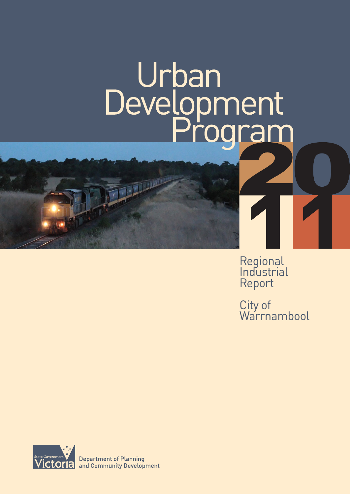# Urban<br>Development<br>Program

 $\frac{1}{2}$  . The state of  $\frac{1}{2}$ 



City of Warrnambool

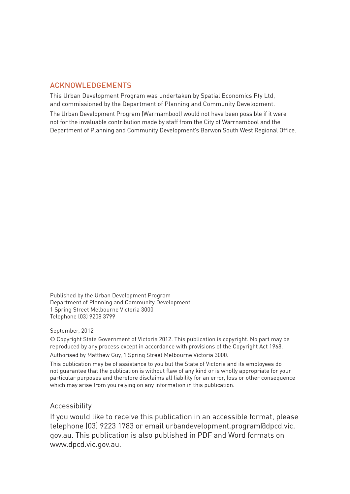## ACKNOWLEDGEMENTS

This Urban Development Program was undertaken by Spatial Economics Pty Ltd, and commissioned by the Department of Planning and Community Development. The Urban Development Program (Warrnambool) would not have been possible if it were not for the invaluable contribution made by staff from the City of Warrnambool and the Department of Planning and Community Development's Barwon South West Regional Office.

Published by the Urban Development Program Department of Planning and Community Development 1 Spring Street Melbourne Victoria 3000 Telephone (03) 9208 3799

#### September, 2012

© Copyright State Government of Victoria 2012. This publication is copyright. No part may be reproduced by any process except in accordance with provisions of the Copyright Act 1968. Authorised by Matthew Guy, 1 Spring Street Melbourne Victoria 3000.

This publication may be of assistance to you but the State of Victoria and its employees do not guarantee that the publication is without flaw of any kind or is wholly appropriate for your particular purposes and therefore disclaims all liability for an error, loss or other consequence which may arise from you relying on any information in this publication.

#### Accessibility

If you would like to receive this publication in an accessible format, please telephone (03) 9223 1783 or email urbandevelopment.program@dpcd.vic. gov.au. This publication is also published in PDF and Word formats on www.dpcd.vic.gov.au.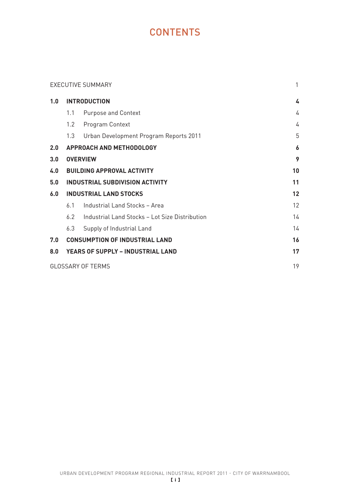# **CONTENTS**

|     |     | <b>EXECUTIVE SUMMARY</b>                       | 1                |
|-----|-----|------------------------------------------------|------------------|
| 1.0 |     | <b>INTRODUCTION</b>                            | 4                |
|     | 1.1 | <b>Purpose and Context</b>                     | 4                |
|     | 1.2 | Program Context                                | 4                |
|     | 1.3 | Urban Development Program Reports 2011         | 5                |
| 2.0 |     | <b>APPROACH AND METHODOLOGY</b>                | $\boldsymbol{6}$ |
| 3.0 |     | <b>OVERVIEW</b>                                | 9                |
| 4.0 |     | <b>BUILDING APPROVAL ACTIVITY</b>              | 10               |
| 5.0 |     | <b>INDUSTRIAL SUBDIVISION ACTIVITY</b>         | 11               |
| 6.0 |     | <b>INDUSTRIAL LAND STOCKS</b>                  | 12               |
|     | 6.1 | Industrial Land Stocks - Area                  | 12               |
|     | 6.2 | Industrial Land Stocks - Lot Size Distribution | 14               |
|     | 6.3 | Supply of Industrial Land                      | 14               |
| 7.0 |     | <b>CONSUMPTION OF INDUSTRIAL LAND</b>          | 16               |
| 8.0 |     | YEARS OF SUPPLY - INDUSTRIAL LAND              | 17               |
|     |     | <b>GLOSSARY OF TERMS</b>                       | 19               |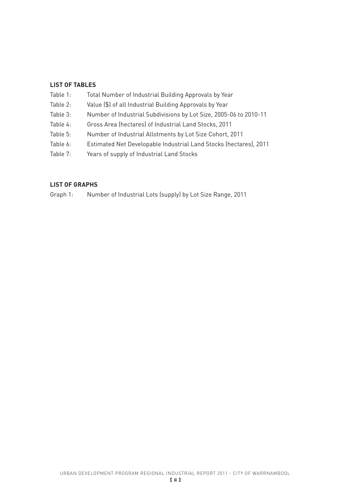#### **LIST OF TABLES**

Table 1: Total Number of Industrial Building Approvals by Year Table 2: Value (\$) of all Industrial Building Approvals by Year Table 3: Number of Industrial Subdivisions by Lot Size, 2005-06 to 2010-11 Table 4: Gross Area (hectares) of Industrial Land Stocks, 2011 Table 5: Number of Industrial Allotments by Lot Size Cohort, 2011 Table 6: Estimated Net Developable Industrial Land Stocks (hectares), 2011 Table 7: Years of supply of Industrial Land Stocks

#### **LIST OF GRAPHS**

Graph 1: Number of Industrial Lots (supply) by Lot Size Range, 2011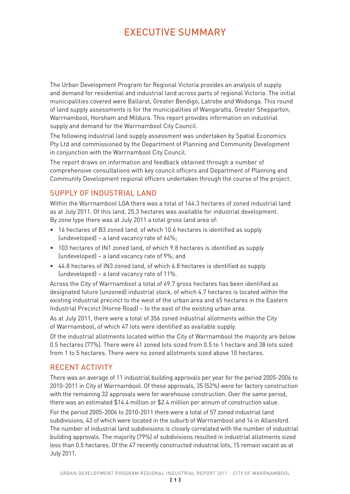# EXECUTIVE SUMMARY

The Urban Development Program for Regional Victoria provides an analysis of supply and demand for residential and industrial land across parts of regional Victoria. The initial municipalities covered were Ballarat, Greater Bendigo, Latrobe and Wodonga. This round of land supply assessments is for the municipalities of Wangaratta, Greater Shepparton, Warrnambool, Horsham and Mildura. This report provides information on industrial supply and demand for the Warrnambool City Council.

The following industrial land supply assessment was undertaken by Spatial Economics Pty Ltd and commissioned by the Department of Planning and Community Development in conjunction with the Warrnambool City Council.

The report draws on information and feedback obtained through a number of comprehensive consultations with key council officers and Department of Planning and Community Development regional officers undertaken through the course of the project.

## SUPPLY OF INDUSTRIAL LAND

Within the Warrnambool LGA there was a total of 164.3 hectares of zoned industrial land as at July 2011. Of this land, 25.3 hectares was available for industrial development. By zone type there was at July 2011 a total gross land area of:

- 16 hectares of B3 zoned land, of which 10.6 hectares is identified as supply (undeveloped) – a land vacancy rate of 66%;
- 103 hectares of IN1 zoned land, of which 9.8 hectares is identified as supply (undeveloped) – a land vacancy rate of 9%; and
- • 44.8 hectares of IN3 zoned land, of which 4.8 hectares is identified as supply (undeveloped) – a land vacancy rate of 11%.

Across the City of Warrnambool a total of 69.7 gross hectares has been identified as designated future (unzoned) industrial stock, of which 4.7 hectares is located within the existing industrial precinct to the west of the urban area and 65 hectares in the Eastern Industrial Precinct (Horne Road) – to the east of the existing urban area.

As at July 2011, there were a total of 356 zoned industrial allotments within the City of Warrnambool, of which 47 lots were identified as available supply.

Of the industrial allotments located within the City of Warrnambool the majority are below 0.5 hectares (77%). There were 41 zoned lots sized from 0.5 to 1 hectare and 38 lots sized from 1 to 5 hectares. There were no zoned allotments sized above 10 hectares.

## RECENT ACTIVITY

There was an average of 11 industrial building approvals per year for the period 2005-2006 to 2010-2011 in City of Warrnambool. Of these approvals, 35 (52%) were for factory construction with the remaining 32 approvals were for warehouse construction. Over the same period, there was an estimated \$14.4 million or \$2.4 million per annum of construction value. For the period 2005-2006 to 2010-2011 there were a total of 57 zoned industrial land subdivisions, 43 of which were located in the suburb of Warrnambool and 14 in Allansford. The number of industrial land subdivisions is closely correlated with the number of industrial building approvals. The majority (79%) of subdivisions resulted in industrial allotments sized less than 0.5 hectares. Of the 47 recently constructed industrial lots, 15 remain vacant as at July 2011.

 $[1]$  1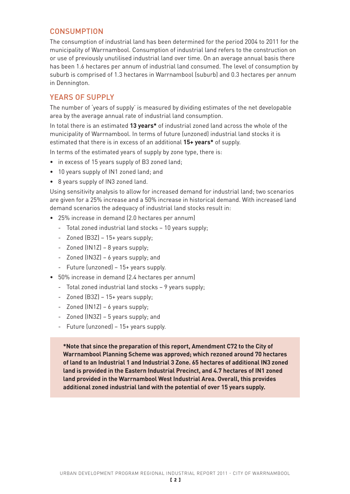### **CONSUMPTION**

The consumption of industrial land has been determined for the period 2004 to 2011 for the municipality of Warrnambool. Consumption of industrial land refers to the construction on or use of previously unutilised industrial land over time. On an average annual basis there has been 1.6 hectares per annum of industrial land consumed. The level of consumption by suburb is comprised of 1.3 hectares in Warrnambool (suburb) and 0.3 hectares per annum in Dennington.

## YEARS OF SUPPLY

The number of 'years of supply' is measured by dividing estimates of the net developable area by the average annual rate of industrial land consumption.

In total there is an estimated **13 years\*** of industrial zoned land across the whole of the municipality of Warrnambool. In terms of future (unzoned) industrial land stocks it is estimated that there is in excess of an additional **15+ years\*** of supply.

In terms of the estimated years of supply by zone type, there is:

- in excess of 15 years supply of B3 zoned land;
- • 10 years supply of IN1 zoned land; and
- • 8 years supply of IN3 zoned land.

Using sensitivity analysis to allow for increased demand for industrial land; two scenarios are given for a 25% increase and a 50% increase in historical demand. With increased land demand scenarios the adequacy of industrial land stocks result in:

- • 25% increase in demand (2.0 hectares per annum)
	- Total zoned industrial land stocks 10 years supply;
	- Zoned (B3Z) 15+ years supply;
	- Zoned (IN1Z) 8 years supply;
	- Zoned (IN3Z) 6 years supply; and
	- Future (unzoned) 15+ years supply.
- • 50% increase in demand (2.4 hectares per annum)
	- Total zoned industrial land stocks 9 years supply;
	- Zoned (B3Z) 15+ years supply;
	- Zoned (IN1Z) 6 years supply;
	- Zoned (IN3Z) 5 years supply; and
	- Future (unzoned) 15+ years supply.

**\*Note that since the preparation of this report, Amendment C72 to the City of Warrnambool Planning Scheme was approved; which rezoned around 70 hectares of land to an Industrial 1 and Industrial 3 Zone. 65 hectares of additional IN3 zoned land is provided in the Eastern Industrial Precinct, and 4.7 hectares of IN1 zoned land provided in the Warrnambool West Industrial Area. Overall, this provides additional zoned industrial land with the potential of over 15 years supply.**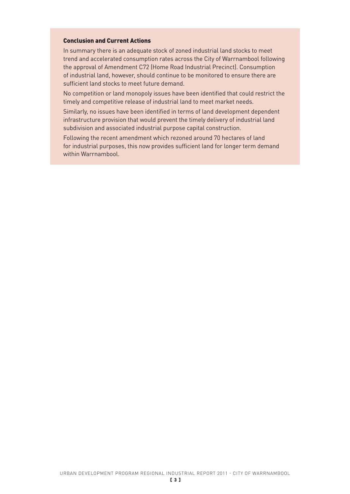#### Conclusion and Current Actions

In summary there is an adequate stock of zoned industrial land stocks to meet trend and accelerated consumption rates across the City of Warrnambool following the approval of Amendment C72 (Home Road Industrial Precinct). Consumption of industrial land, however, should continue to be monitored to ensure there are sufficient land stocks to meet future demand.

No competition or land monopoly issues have been identified that could restrict the timely and competitive release of industrial land to meet market needs.

Similarly, no issues have been identified in terms of land development dependent infrastructure provision that would prevent the timely delivery of industrial land subdivision and associated industrial purpose capital construction.

Following the recent amendment which rezoned around 70 hectares of land for industrial purposes, this now provides sufficient land for longer term demand within Warrnambool.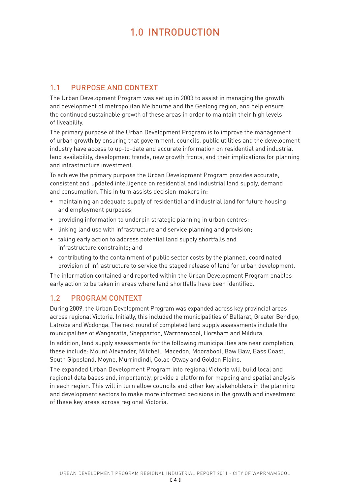# 1.0 INTRODUCTION

## 1.1 PURPOSE AND CONTEXT

The Urban Development Program was set up in 2003 to assist in managing the growth and development of metropolitan Melbourne and the Geelong region, and help ensure the continued sustainable growth of these areas in order to maintain their high levels of liveability.

The primary purpose of the Urban Development Program is to improve the management of urban growth by ensuring that government, councils, public utilities and the development industry have access to up-to-date and accurate information on residential and industrial land availability, development trends, new growth fronts, and their implications for planning and infrastructure investment.

To achieve the primary purpose the Urban Development Program provides accurate, consistent and updated intelligence on residential and industrial land supply, demand and consumption. This in turn assists decision-makers in:

- maintaining an adequate supply of residential and industrial land for future housing and employment purposes;
- providing information to underpin strategic planning in urban centres;
- linking land use with infrastructure and service planning and provision;
- taking early action to address potential land supply shortfalls and infrastructure constraints; and
- contributing to the containment of public sector costs by the planned, coordinated provision of infrastructure to service the staged release of land for urban development.

The information contained and reported within the Urban Development Program enables early action to be taken in areas where land shortfalls have been identified.

# 1.2 PROGRAM CONTEXT

During 2009, the Urban Development Program was expanded across key provincial areas across regional Victoria. Initially, this included the municipalities of Ballarat, Greater Bendigo, Latrobe and Wodonga. The next round of completed land supply assessments include the municipalities of Wangaratta, Shepparton, Warrnambool, Horsham and Mildura.

In addition, land supply assessments for the following municipalities are near completion, these include: Mount Alexander, Mitchell, Macedon, Moorabool, Baw Baw, Bass Coast, South Gippsland, Moyne, Murrindindi, Colac-Otway and Golden Plains.

The expanded Urban Development Program into regional Victoria will build local and regional data bases and, importantly, provide a platform for mapping and spatial analysis in each region. This will in turn allow councils and other key stakeholders in the planning and development sectors to make more informed decisions in the growth and investment of these key areas across regional Victoria.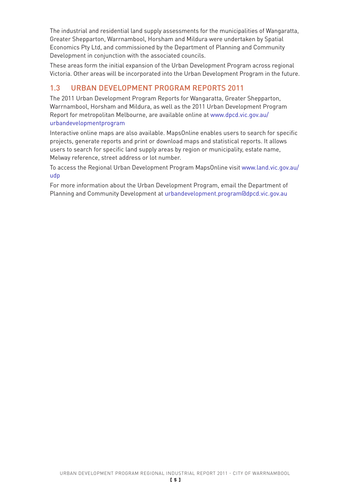The industrial and residential land supply assessments for the municipalities of Wangaratta, Greater Shepparton, Warrnambool, Horsham and Mildura were undertaken by Spatial Economics Pty Ltd, and commissioned by the Department of Planning and Community Development in conjunction with the associated councils.

These areas form the initial expansion of the Urban Development Program across regional Victoria. Other areas will be incorporated into the Urban Development Program in the future.

## 1.3 URBAN DEVELOPMENT PROGRAM REPORTS 2011

The 2011 Urban Development Program Reports for Wangaratta, Greater Shepparton, Warrnambool, Horsham and Mildura, as well as the 2011 Urban Development Program Report for metropolitan Melbourne, are available online at www.dpcd.vic.gov.au/ urbandevelopmentprogram

Interactive online maps are also available. MapsOnline enables users to search for specific projects, generate reports and print or download maps and statistical reports. It allows users to search for specific land supply areas by region or municipality, estate name, Melway reference, street address or lot number.

To access the Regional Urban Development Program MapsOnline visit www.land.vic.gov.au/ udp

For more information about the Urban Development Program, email the Department of Planning and Community Development at urbandevelopment.program@dpcd.vic.gov.au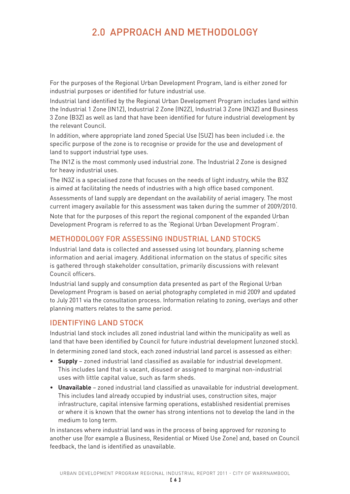# 2.0 APPROACH AND METHODOLOGY

For the purposes of the Regional Urban Development Program, land is either zoned for industrial purposes or identified for future industrial use.

Industrial land identified by the Regional Urban Development Program includes land within the Industrial 1 Zone (IN1Z), Industrial 2 Zone (IN2Z), Industrial 3 Zone (IN3Z) and Business 3 Zone (B3Z) as well as land that have been identified for future industrial development by the relevant Council.

In addition, where appropriate land zoned Special Use (SUZ) has been included i.e. the specific purpose of the zone is to recognise or provide for the use and development of land to support industrial type uses.

The IN1Z is the most commonly used industrial zone. The Industrial 2 Zone is designed for heavy industrial uses.

The IN3Z is a specialised zone that focuses on the needs of light industry, while the B3Z is aimed at facilitating the needs of industries with a high office based component.

Assessments of land supply are dependant on the availability of aerial imagery. The most current imagery available for this assessment was taken during the summer of 2009/2010.

Note that for the purposes of this report the regional component of the expanded Urban Development Program is referred to as the 'Regional Urban Development Program'.

## METHODOLOGY FOR ASSESSING INDUSTRIAL LAND STOCKS

Industrial land data is collected and assessed using lot boundary, planning scheme information and aerial imagery. Additional information on the status of specific sites is gathered through stakeholder consultation, primarily discussions with relevant Council officers.

Industrial land supply and consumption data presented as part of the Regional Urban Development Program is based on aerial photography completed in mid 2009 and updated to July 2011 via the consultation process. Information relating to zoning, overlays and other planning matters relates to the same period.

## IDENTIFYING LAND STOCK

Industrial land stock includes all zoned industrial land within the municipality as well as land that have been identified by Council for future industrial development (unzoned stock).

In determining zoned land stock, each zoned industrial land parcel is assessed as either:

- • **Supply**  zoned industrial land classified as available for industrial development. This includes land that is vacant, disused or assigned to marginal non-industrial uses with little capital value, such as farm sheds.
- • **Unavailable** zoned industrial land classified as unavailable for industrial development. This includes land already occupied by industrial uses, construction sites, major infrastructure, capital intensive farming operations, established residential premises or where it is known that the owner has strong intentions not to develop the land in the medium to long term.

In instances where industrial land was in the process of being approved for rezoning to another use (for example a Business, Residential or Mixed Use Zone) and, based on Council feedback, the land is identified as unavailable.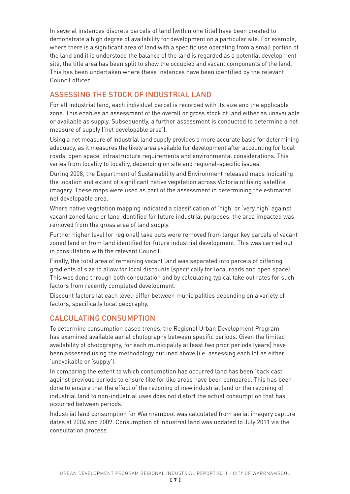In several instances discrete parcels of land (within one title) have been created to demonstrate a high degree of availability for development on a particular site. For example, where there is a significant area of land with a specific use operating from a small portion of the land and it is understood the balance of the land is regarded as a potential development site, the title area has been split to show the occupied and vacant components of the land. This has been undertaken where these instances have been identified by the relevant Council officer.

## ASSESSING THE STOCK OF INDUSTRIAL LAND

For all industrial land, each individual parcel is recorded with its size and the applicable zone. This enables an assessment of the overall or gross stock of land either as unavailable or available as supply. Subsequently, a further assessment is conducted to determine a net measure of supply ('net developable area').

Using a net measure of industrial land supply provides a more accurate basis for determining adequacy, as it measures the likely area available for development after accounting for local roads, open space, infrastructure requirements and environmental considerations. This varies from locality to locality, depending on site and regional-specific issues.

During 2008, the Department of Sustainability and Environment released maps indicating the location and extent of significant native vegetation across Victoria utilising satellite imagery. These maps were used as part of the assessment in determining the estimated net developable area.

Where native vegetation mapping indicated a classification of 'high' or 'very high' against vacant zoned land or land identified for future industrial purposes, the area impacted was removed from the gross area of land supply.

Further higher level (or regional) take outs were removed from larger key parcels of vacant zoned land or from land identified for future industrial development. This was carried out in consultation with the relevant Council.

Finally, the total area of remaining vacant land was separated into parcels of differing gradients of size to allow for local discounts (specifically for local roads and open space). This was done through both consultation and by calculating typical take out rates for such factors from recently completed development.

Discount factors (at each level) differ between municipalities depending on a variety of factors, specifically local geography.

## CALCULATING CONSUMPTION

To determine consumption based trends, the Regional Urban Development Program has examined available aerial photography between specific periods. Given the limited availability of photography, for each municipality at least two prior periods (years) have been assessed using the methodology outlined above (i.e. assessing each lot as either 'unavailable or 'supply').

In comparing the extent to which consumption has occurred land has been 'back cast' against previous periods to ensure like for like areas have been compared. This has been done to ensure that the effect of the rezoning of new industrial land or the rezoning of industrial land to non-industrial uses does not distort the actual consumption that has occurred between periods.

Industrial land consumption for Warrnambool was calculated from aerial imagery capture dates at 2004 and 2009. Consumption of industrial land was updated to July 2011 via the consultation process.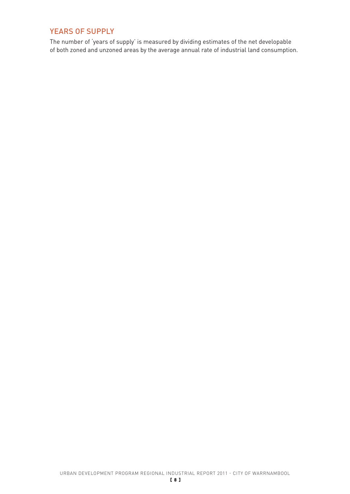## YEARS OF SUPPLY

The number of 'years of supply' is measured by dividing estimates of the net developable of both zoned and unzoned areas by the average annual rate of industrial land consumption.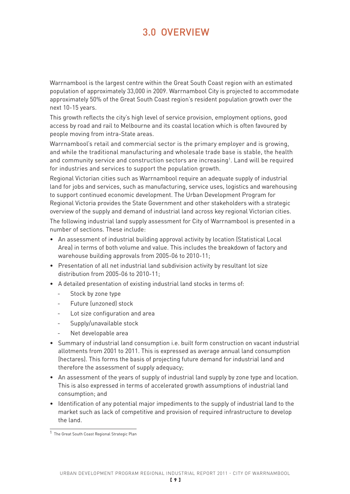# 3.0 OVERVIEW

Warrnambool is the largest centre within the Great South Coast region with an estimated population of approximately 33,000 in 2009. Warrnambool City is projected to accommodate approximately 50% of the Great South Coast region's resident population growth over the next 10-15 years.

This growth reflects the city's high level of service provision, employment options, good access by road and rail to Melbourne and its coastal location which is often favoured by people moving from intra-State areas.

Warrnambool's retail and commercial sector is the primary employer and is growing, and while the traditional manufacturing and wholesale trade base is stable, the health and community service and construction sectors are increasing<sup>1</sup>. Land will be required for industries and services to support the population growth.

Regional Victorian cities such as Warrnambool require an adequate supply of industrial land for jobs and services, such as manufacturing, service uses, logistics and warehousing to support continued economic development. The Urban Development Program for Regional Victoria provides the State Government and other stakeholders with a strategic overview of the supply and demand of industrial land across key regional Victorian cities.

The following industrial land supply assessment for City of Warrnambool is presented in a number of sections. These include:

- An assessment of industrial building approval activity by location (Statistical Local Area) in terms of both volume and value. This includes the breakdown of factory and warehouse building approvals from 2005-06 to 2010-11;
- Presentation of all net industrial land subdivision activity by resultant lot size distribution from 2005-06 to 2010-11;
- A detailed presentation of existing industrial land stocks in terms of:
	- Stock by zone type
	- Future (unzoned) stock
	- Lot size configuration and area
	- Supply/unavailable stock
	- Net developable area
- • Summary of industrial land consumption i.e. built form construction on vacant industrial allotments from 2001 to 2011. This is expressed as average annual land consumption (hectares). This forms the basis of projecting future demand for industrial land and therefore the assessment of supply adequacy;
- An assessment of the years of supply of industrial land supply by zone type and location. This is also expressed in terms of accelerated growth assumptions of industrial land consumption; and
- Identification of any potential major impediments to the supply of industrial land to the market such as lack of competitive and provision of required infrastructure to develop the land.

<sup>1</sup> The Great South Coast Regional Strategic Plan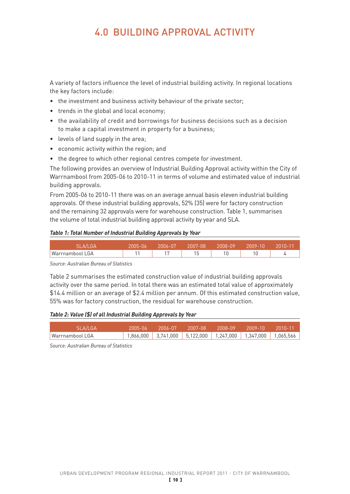# 4.0 BUILDING APPROVAL ACTIVITY

A variety of factors influence the level of industrial building activity. In regional locations the key factors include:

- the investment and business activity behaviour of the private sector;
- trends in the global and local economy;
- the availability of credit and borrowings for business decisions such as a decision to make a capital investment in property for a business;
- levels of land supply in the area;
- • economic activity within the region; and
- the degree to which other regional centres compete for investment.

The following provides an overview of Industrial Building Approval activity within the City of Warrnambool from 2005-06 to 2010-11 in terms of volume and estimated value of industrial building approvals.

From 2005-06 to 2010-11 there was on an average annual basis eleven industrial building approvals. Of these industrial building approvals, 52% (35) were for factory construction and the remaining 32 approvals were for warehouse construction. Table 1, summarises the volume of total industrial building approval activity by year and SLA.

#### *Table 1: Total Number of Industrial Building Approvals by Year*

| SLA/LGA         | 2005-06 | 2በበለ-በ7 | 2007-08 | 2008-09 | 2በበ9-1በ | 2010-11 |
|-----------------|---------|---------|---------|---------|---------|---------|
| Warrnambool LGA |         |         | ັບ      |         |         |         |

*Source: Australian Bureau of Statistics*

Table 2 summarises the estimated construction value of industrial building approvals activity over the same period. In total there was an estimated total value of approximately \$14.4 million or an average of \$2.4 million per annum. Of this estimated construction value, 55% was for factory construction, the residual for warehouse construction.

#### *Table 2: Value (\$) of all Industrial Building Approvals by Year*

| SLA/LGA         | 2005-06 | 2006-07 | , 2007-081                                                              | , 2008-09 | , 2009-10 | $2010 - 11$ |
|-----------------|---------|---------|-------------------------------------------------------------------------|-----------|-----------|-------------|
| Warrnambool LGA |         |         | $1,866,000$ $3,741,000$ $5,122,000$ $1,247,000$ $1,347,000$ $1,065,566$ |           |           |             |

*Source: Australian Bureau of Statistics*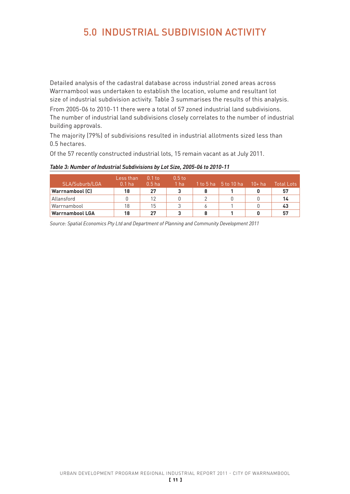# 5.0 INDUSTRIAL SUBDIVISION ACTIVITY

Detailed analysis of the cadastral database across industrial zoned areas across Warrnambool was undertaken to establish the location, volume and resultant lot size of industrial subdivision activity. Table 3 summarises the results of this analysis.

From 2005-06 to 2010-11 there were a total of 57 zoned industrial land subdivisions. The number of industrial land subdivisions closely correlates to the number of industrial building approvals.

The majority (79%) of subdivisions resulted in industrial allotments sized less than 0.5 hectares.

Of the 57 recently constructed industrial lots, 15 remain vacant as at July 2011.

| SLA/Suburb/LGA         | Less than<br>$0.1$ ha | $0.1$ to<br>$0.5$ ha | 0.5 <sub>to</sub><br>1 ha | 11 to 5 ha = 5 to 10 ha | $10+$ ha | Total Lots <sub>i</sub> |
|------------------------|-----------------------|----------------------|---------------------------|-------------------------|----------|-------------------------|
| Warrnambool (C)        | 18                    | 27                   |                           |                         |          | 57                      |
| Allansford             |                       | 12                   |                           |                         |          | 14                      |
| Warrnambool            | 18                    | 15                   | ્ર                        |                         |          | 43                      |
| <b>Warrnambool LGA</b> | 18                    | 27                   |                           |                         |          | 57                      |

#### *Table 3: Number of Industrial Subdivisions by Lot Size, 2005-06 to 2010-11*

*Source: Spatial Economics Pty Ltd and Department of Planning and Community Development 2011*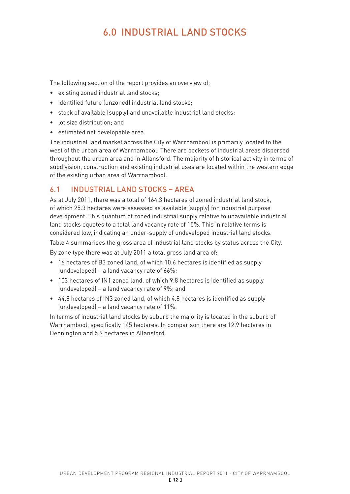# 6.0 INDUSTRIAL LAND STOCKS

The following section of the report provides an overview of:

- • existing zoned industrial land stocks;
- identified future (unzoned) industrial land stocks;
- stock of available (supply) and unavailable industrial land stocks;
- • lot size distribution; and
- • estimated net developable area.

The industrial land market across the City of Warrnambool is primarily located to the west of the urban area of Warrnambool. There are pockets of industrial areas dispersed throughout the urban area and in Allansford. The majority of historical activity in terms of subdivision, construction and existing industrial uses are located within the western edge of the existing urban area of Warrnambool.

# 6.1 INDUSTRIAL LAND STOCKS – AREA

As at July 2011, there was a total of 164.3 hectares of zoned industrial land stock, of which 25.3 hectares were assessed as available (supply) for industrial purpose development. This quantum of zoned industrial supply relative to unavailable industrial land stocks equates to a total land vacancy rate of 15%. This in relative terms is considered low, indicating an under-supply of undeveloped industrial land stocks.

Table 4 summarises the gross area of industrial land stocks by status across the City.

By zone type there was at July 2011 a total gross land area of:

- 16 hectares of B3 zoned land, of which 10.6 hectares is identified as supply (undeveloped) – a land vacancy rate of 66%;
- 103 hectares of IN1 zoned land, of which 9.8 hectares is identified as supply (undeveloped) – a land vacancy rate of 9%; and
- • 44.8 hectares of IN3 zoned land, of which 4.8 hectares is identified as supply (undeveloped) – a land vacancy rate of 11%.

In terms of industrial land stocks by suburb the majority is located in the suburb of Warrnambool, specifically 145 hectares. In comparison there are 12.9 hectares in Dennington and 5.9 hectares in Allansford.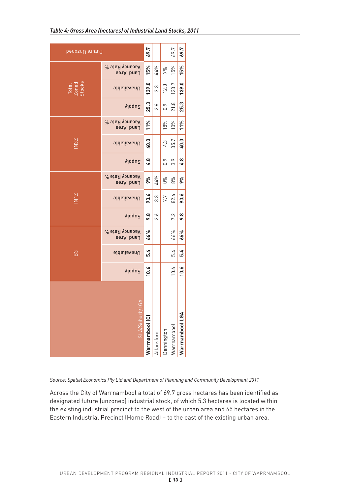|                          | Future Unzoned              |                 |                  |                  |                  |                 |  |
|--------------------------|-----------------------------|-----------------|------------------|------------------|------------------|-----------------|--|
|                          | Vacancy Rate %<br>Land Area | 15%             | 44%              | 7%               | 15%              | 15%             |  |
| Total<br>Zoned<br>Stocks | <b>Unavailable</b>          | 139.0           | $3.\overline{3}$ | 12.0             | 123.7            | 139.0           |  |
|                          | <i><b>Addns</b></i>         | 25.3            | 2.6              | $0.\overline{9}$ | 21.8             | 25.3            |  |
| IN <sub>3Z</sub>         | Vacancy Rate %<br>Land Area | 11%             |                  | 18%              | 10%              | 11%             |  |
|                          | <b>Unavailable</b>          | 40.0            |                  | 4.3              | 35.7             | 40.0            |  |
|                          | <i><b>Addns</b></i>         | 4.8             |                  | $0.\overline{9}$ | $3.\overline{9}$ | 4.8             |  |
| IN <sub>1Z</sub>         | Vacancy Rate %<br>Land Area | 9%              | 44%              | 0%               | 8%               | 9%              |  |
|                          | <b>Unavailable</b>          | 93.6            | 3.3              | 7.7              | 82.6             | 93.6            |  |
|                          | <i><b>Addns</b></i>         | 9.8             | 2.6              |                  | 7.2              | 9.8             |  |
|                          | Vacancy Rate %<br>Land Area | 66%             |                  |                  | 66%              | 66%             |  |
| B3                       | <b>Unavailable</b>          | 5.4             |                  |                  | 5.4              | 5.4             |  |
|                          | <i><b>Addns</b></i>         | 10.6            |                  |                  | 10.6             | 10.6            |  |
|                          | SLA/Suburb/LGA              | Warrnambool (C) | Allansford       | Dennington       | Warrnambool      | Warrnambool LGA |  |

*Source: Spatial Economics Pty Ltd and Department of Planning and Community Development 2011*

Across the City of Warrnambool a total of 69.7 gross hectares has been identified as designated future (unzoned) industrial stock, of which 5.3 hectares is located within the existing industrial precinct to the west of the urban area and 65 hectares in the Eastern Industrial Precinct (Horne Road) – to the east of the existing urban area.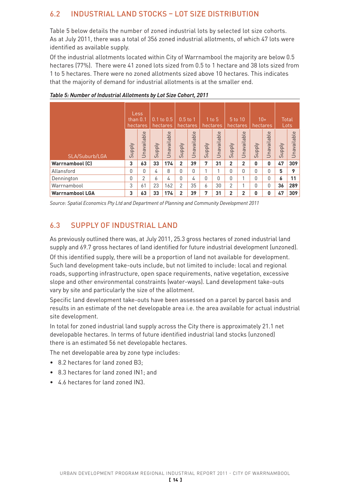# 6.2 INDUSTRIAL LAND STOCKS – LOT SIZE DISTRIBUTION

Table 5 below details the number of zoned industrial lots by selected lot size cohorts. As at July 2011, there was a total of 356 zoned industrial allotments, of which 47 lots were identified as available supply.

Of the industrial allotments located within City of Warrnambool the majority are below 0.5 hectares (77%). There were 41 zoned lots sized from 0.5 to 1 hectare and 38 lots sized from 1 to 5 hectares. There were no zoned allotments sized above 10 hectares. This indicates that the majority of demand for industrial allotments is at the smaller end.

|                        |              | Less,<br>than $0.1$<br>hectares |        | $0.1$ to $0.5$<br>hectares | $0.5$ to 1.<br>hectares |                                                                             | $1$ to 5<br>hectares    |                | hectares       | $5t$ o 10      | $10+$<br>hectares |                 | Total                                        | Lots        |
|------------------------|--------------|---------------------------------|--------|----------------------------|-------------------------|-----------------------------------------------------------------------------|-------------------------|----------------|----------------|----------------|-------------------|-----------------|----------------------------------------------|-------------|
| SLA/Suburb/LGA         | <b>Addns</b> | Unavailable                     | Supply | Unavailable                | <b>Addns</b>            | $\omega$<br>ت<br>$\Omega$<br>$\sigma$<br>≓<br>$\sigma$<br>Unav <sub>o</sub> | pply<br>$5\overline{u}$ | Unavailable    | <b>Addns</b>   | Unavailable    | Supply            | ble<br>Unavaila | pply<br>$\overline{\phantom{0}}$<br>$\Omega$ | Unavailable |
| <b>Warrnambool (C)</b> | 3            | 63                              | 33     | 174                        | $\overline{2}$          | 39                                                                          | 7                       | 31             | $\overline{2}$ | $\overline{2}$ | 0                 | 0               | 47                                           | 309         |
| Allansford             | 0            | 0                               | 4      | 8                          | $\Omega$                | U                                                                           | $\overline{ }$          | $\overline{ }$ | 0              | $\Omega$       | 0                 | $\Omega$        | 5                                            | 9           |
| Dennington             | 0            | 2                               | 6      | 4                          | $\Omega$                | 4                                                                           | $\Omega$                | $\Omega$       | 0              | 1              | $\Omega$          | O               | 6                                            | 11          |
| Warrnambool            | 3            | 61                              | 23     | 162                        | 2                       | 35                                                                          | 6                       | 30             | 2              | л              | $\Omega$          | O               | 36                                           | 289         |
| <b>Warrnambool LGA</b> | 3            | 63                              | 33     | 174                        | $\overline{2}$          | 39                                                                          | 7                       | 31             | 2              | $\overline{2}$ | 0                 | 0               | 47                                           | 309         |

*Table 5: Number of Industrial Allotments by Lot Size Cohort, 2011*

*Source: Spatial Economics Pty Ltd and Department of Planning and Community Development 2011*

# 6.3 SUPPLY OF INDUSTRIAL LAND

As previously outlined there was, at July 2011, 25.3 gross hectares of zoned industrial land supply and 69.7 gross hectares of land identified for future industrial development (unzoned).

Of this identified supply, there will be a proportion of land not available for development. Such land development take-outs include, but not limited to include: local and regional roads, supporting infrastructure, open space requirements, native vegetation, excessive slope and other environmental constraints (water-ways). Land development take-outs vary by site and particularly the size of the allotment.

Specific land development take-outs have been assessed on a parcel by parcel basis and results in an estimate of the net developable area i.e. the area available for actual industrial site development.

In total for zoned industrial land supply across the City there is approximately 21.1 net developable hectares. In terms of future identified industrial land stocks (unzoned) there is an estimated 56 net developable hectares.

The net developable area by zone type includes:

- 8.2 hectares for land zoned B3;
- • 8.3 hectares for land zoned IN1; and
- • 4.6 hectares for land zoned IN3.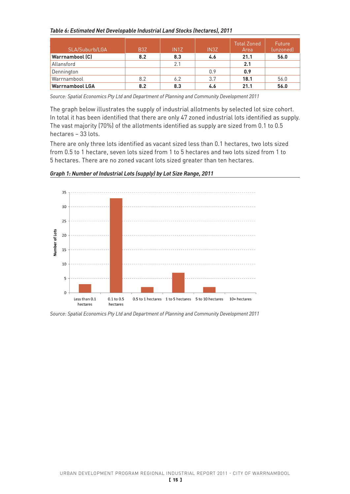#### *Table 6: Estimated Net Developable Industrial Land Stocks (hectares), 2011*

| SLA/Suburb/LGA         | B <sub>3</sub> Z | IN <sub>1</sub> Z | IN <sub>3</sub> Z | <b>Total Zoned</b><br>Area | Future<br>(unzoned) |
|------------------------|------------------|-------------------|-------------------|----------------------------|---------------------|
| Warrnambool (C)        | 8.2              | 8.3               | 4.6               | 21.1                       | 56.0                |
| Allansford             |                  | 2.1               |                   | 2.1                        |                     |
| Dennington             |                  |                   | 0.9               | 0.9                        |                     |
| Warrnambool            | 8.2              | 6.2               | 3.7               | 18.1                       | 56.0                |
| <b>Warrnambool LGA</b> | 8.2              | 8.3               | 4.6               | 21.1                       | 56.0                |

*Source: Spatial Economics Pty Ltd and Department of Planning and Community Development 2011*

The graph below illustrates the supply of industrial allotments by selected lot size cohort. In total it has been identified that there are only 47 zoned industrial lots identified as supply. The vast majority (70%) of the allotments identified as supply are sized from 0.1 to 0.5 hectares – 33 lots.

There are only three lots identified as vacant sized less than 0.1 hectares, two lots sized from 0.5 to 1 hectare, seven lots sized from 1 to 5 hectares and two lots sized from 1 to 5 hectares. There are no zoned vacant lots sized greater than ten hectares.



*Graph 1: Number of Industrial Lots (supply) by Lot Size Range, 2011*

*Source: Spatial Economics Pty Ltd and Department of Planning and Community Development 2011*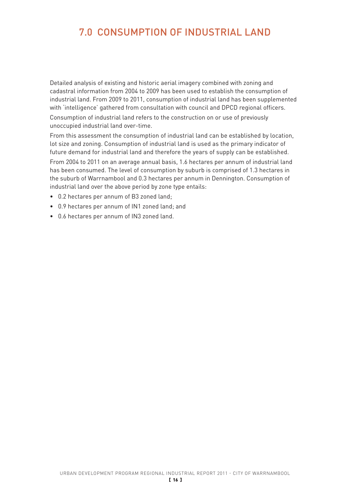# 7.0 CONSUMPTION OF INDUSTRIAL LAND

Detailed analysis of existing and historic aerial imagery combined with zoning and cadastral information from 2004 to 2009 has been used to establish the consumption of industrial land. From 2009 to 2011, consumption of industrial land has been supplemented with 'intelligence' gathered from consultation with council and DPCD regional officers.

Consumption of industrial land refers to the construction on or use of previously unoccupied industrial land over-time.

From this assessment the consumption of industrial land can be established by location, lot size and zoning. Consumption of industrial land is used as the primary indicator of future demand for industrial land and therefore the years of supply can be established.

From 2004 to 2011 on an average annual basis, 1.6 hectares per annum of industrial land has been consumed. The level of consumption by suburb is comprised of 1.3 hectares in the suburb of Warrnambool and 0.3 hectares per annum in Dennington. Consumption of industrial land over the above period by zone type entails:

- • 0.2 hectares per annum of B3 zoned land;
- • 0.9 hectares per annum of IN1 zoned land; and
- • 0.6 hectares per annum of IN3 zoned land.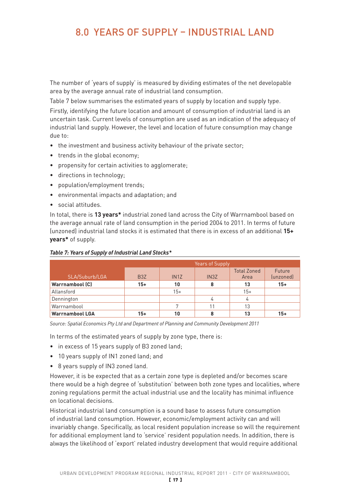# 8.0 YEARS OF SUPPLY – INDUSTRIAL LAND

The number of 'years of supply' is measured by dividing estimates of the net developable area by the average annual rate of industrial land consumption.

Table 7 below summarises the estimated years of supply by location and supply type. Firstly, identifying the future location and amount of consumption of industrial land is an uncertain task. Current levels of consumption are used as an indication of the adequacy of industrial land supply. However, the level and location of future consumption may change due to:

- the investment and business activity behaviour of the private sector;
- trends in the global economy;
- propensity for certain activities to agglomerate;
- directions in technology;
- • population/employment trends;
- • environmental impacts and adaptation; and
- • social attitudes.

In total, there is **13 years\*** industrial zoned land across the City of Warrnambool based on the average annual rate of land consumption in the period 2004 to 2011. In terms of future (unzoned) industrial land stocks it is estimated that there is in excess of an additional **15+ years\*** of supply.

|                        | <b>Years of Supply</b> |                   |                   |                            |                            |  |  |  |  |  |
|------------------------|------------------------|-------------------|-------------------|----------------------------|----------------------------|--|--|--|--|--|
| SLA/Suburb/LGA         | B <sub>3</sub> Z       | IN <sub>1</sub> Z | IN <sub>3</sub> Z | <b>Total Zoned</b><br>Area | <b>Future</b><br>(unzoned) |  |  |  |  |  |
| Warrnambool (C)        | $15+$                  | 10                | 8                 | 13                         | $15+$                      |  |  |  |  |  |
| Allansford             |                        | $15+$             |                   | $15+$                      |                            |  |  |  |  |  |
| Dennington             |                        |                   | 4                 |                            |                            |  |  |  |  |  |
| Warrnambool            |                        |                   | 11                | 13                         |                            |  |  |  |  |  |
| <b>Warrnambool LGA</b> | $15+$                  | 10                | 8                 |                            | 15+                        |  |  |  |  |  |

#### *Table 7: Years of Supply of Industrial Land Stocks\**

*Source: Spatial Economics Pty Ltd and Department of Planning and Community Development 2011*

In terms of the estimated years of supply by zone type, there is:

- in excess of 15 years supply of B3 zoned land;
- • 10 years supply of IN1 zoned land; and
- • 8 years supply of IN3 zoned land.

However, it is be expected that as a certain zone type is depleted and/or becomes scare there would be a high degree of 'substitution' between both zone types and localities, where zoning regulations permit the actual industrial use and the locality has minimal influence on locational decisions.

Historical industrial land consumption is a sound base to assess future consumption of industrial land consumption. However, economic/employment activity can and will invariably change. Specifically, as local resident population increase so will the requirement for additional employment land to 'service' resident population needs. In addition, there is always the likelihood of 'export' related industry development that would require additional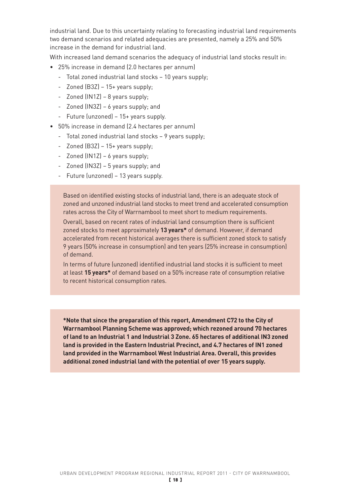industrial land. Due to this uncertainty relating to forecasting industrial land requirements two demand scenarios and related adequacies are presented, namely a 25% and 50% increase in the demand for industrial land.

With increased land demand scenarios the adequacy of industrial land stocks result in:

- • 25% increase in demand (2.0 hectares per annum)
	- Total zoned industrial land stocks 10 years supply;
	- Zoned (B3Z) 15+ years supply;
	- Zoned (IN1Z) 8 years supply;
	- Zoned (IN3Z) 6 years supply; and
	- Future (unzoned) 15+ years supply.
- • 50% increase in demand (2.4 hectares per annum)
	- Total zoned industrial land stocks 9 years supply;
	- Zoned (B3Z) 15+ years supply;
	- Zoned (IN1Z) 6 years supply;
	- Zoned (IN3Z) 5 years supply; and
	- Future (unzoned) 13 years supply.

Based on identified existing stocks of industrial land, there is an adequate stock of zoned and unzoned industrial land stocks to meet trend and accelerated consumption rates across the City of Warrnambool to meet short to medium requirements.

Overall, based on recent rates of industrial land consumption there is sufficient zoned stocks to meet approximately **13 years\*** of demand. However, if demand accelerated from recent historical averages there is sufficient zoned stock to satisfy 9 years (50% increase in consumption) and ten years (25% increase in consumption) of demand.

In terms of future (unzoned) identified industrial land stocks it is sufficient to meet at least **15 years\*** of demand based on a 50% increase rate of consumption relative to recent historical consumption rates.

**\*Note that since the preparation of this report, Amendment C72 to the City of Warrnambool Planning Scheme was approved; which rezoned around 70 hectares of land to an Industrial 1 and Industrial 3 Zone. 65 hectares of additional IN3 zoned land is provided in the Eastern Industrial Precinct, and 4.7 hectares of IN1 zoned land provided in the Warrnambool West Industrial Area. Overall, this provides additional zoned industrial land with the potential of over 15 years supply.**